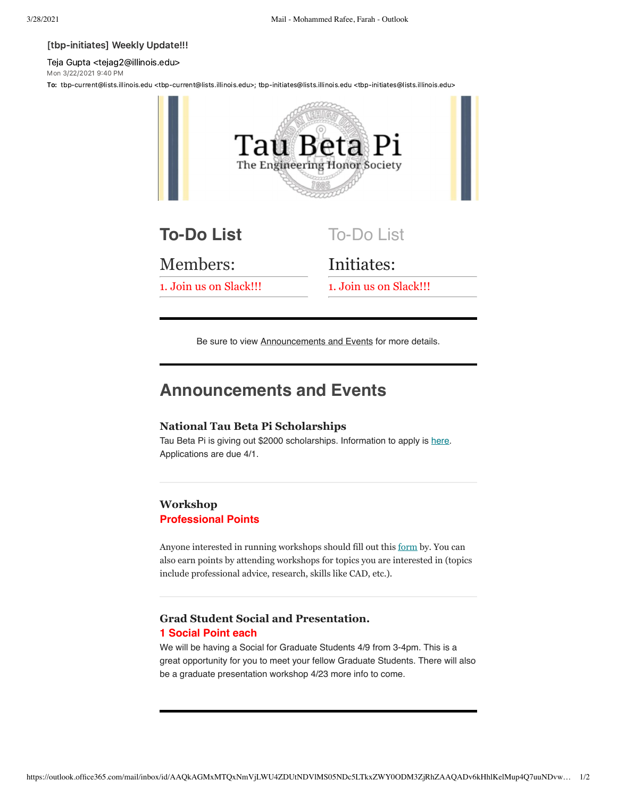#### [tbp-initiates] Weekly Update!!!

Teja Gupta <tejag2@illinois.edu> Mon 3/22/2021 9:40 PM

To: tbp-current@lists.illinois.edu <tbp-current@lists.illinois.edu>; tbp-initiates@lists.illinois.edu <tbp-initiates@lists.illinois.edu>



Be sure to view Announcements and Events for more details.

# **Announcements and Events**

### **National Tau Beta Pi Scholarships**

Tau Beta Pi is giving out \$2000 scholarships. Information to apply is [here](https://urldefense.com/v3/__https://docs.google.com/spreadsheets/d/1lx7Ac4sFCzsU92poTwJUiWHWOi2ux5ypaXmDNVwdeYo/edit*gid=0__;Iw!!DZ3fjg!q7YjF8q02r4t12wPhaipGJGv8whmK9Zh-PWIyEUl41pmi2rMN22o8Oj_9xPBXgeOrBc9vOnIyg$). Applications are due 4/1.

## **Workshop Professional Points**

Anyone interested in running workshops should fill out this [form](https://urldefense.com/v3/__https://forms.gle/o8Lb6x4fp9rBt5KB8__;!!DZ3fjg!pIW4Z5ryPiHtLj5pa3RRiHclTq1QX0slshEE9EerSwGlEut06xFwv5doLG1OfzcPegdTINZ2WyQ$) by. You can also earn points by attending workshops for topics you are interested in (topics include professional advice, research, skills like CAD, etc.).

## **Grad Student Social and Presentation. 1 Social Point each**

We will be having a Social for Graduate Students 4/9 from 3-4pm. This is a great opportunity for you to meet your fellow Graduate Students. There will also be a graduate presentation workshop 4/23 more info to come.